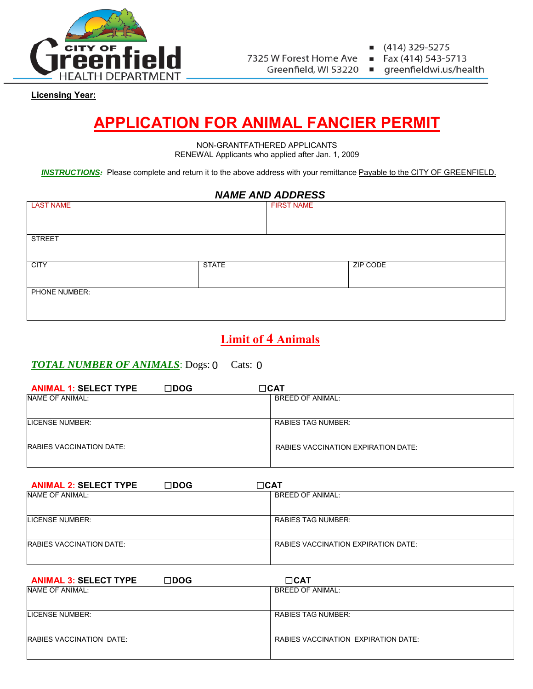

7325 W Forest Home Ave

Greenfield, WI 53220

(414) 329-5275

 $\blacksquare$ 

Fax (414) 543-5713  $\blacksquare$ 

greenfieldwi.us/health

**Licensing Year:**

# **APPLICATION FOR ANIMAL FANCIER PERMIT**

NON-GRANTFATHERED APPLICANTS RENEWAL Applicants who applied after Jan. 1, 2009

*INSTRUCTIONS:* Please complete and return it to the above address with your remittance Payable to the CITY OF GREENFIELD.

## *NAME AND ADDRESS*

| <b>LAST NAME</b> |              | <b>FIRST NAME</b> |          |
|------------------|--------------|-------------------|----------|
|                  |              |                   |          |
|                  |              |                   |          |
|                  |              |                   |          |
| <b>STREET</b>    |              |                   |          |
|                  |              |                   |          |
|                  |              |                   |          |
| <b>CITY</b>      | <b>STATE</b> |                   | ZIP CODE |
|                  |              |                   |          |
|                  |              |                   |          |
| PHONE NUMBER:    |              |                   |          |
|                  |              |                   |          |
|                  |              |                   |          |
|                  |              |                   |          |

# **Limit of 4 Animals**

#### **TOTAL NUMBER OF ANIMALS:** Dogs: 0 Cats:  $0$

| <b>ANIMAL 1: SELECT TYPE</b> | $\square$ DOG | $\Box$ CAT                          |
|------------------------------|---------------|-------------------------------------|
| NAME OF ANIMAL:              |               | BREED OF ANIMAL:                    |
| LICENSE NUMBER:              |               | RABIES TAG NUMBER:                  |
| RABIES VACCINATION DATE:     |               | RABIES VACCINATION EXPIRATION DATE: |

| <b>ANIMAL 2: SELECT TYPE</b>    | $\square$ DOG | $\Box$ CAT                                 |
|---------------------------------|---------------|--------------------------------------------|
| NAME OF ANIMAL:                 |               | <b>BREED OF ANIMAL:</b>                    |
|                                 |               |                                            |
| LICENSE NUMBER:                 |               | RABIES TAG NUMBER:                         |
| <b>RABIES VACCINATION DATE:</b> |               | <b>RABIES VACCINATION EXPIRATION DATE:</b> |

| $\square$ DOG<br><b>ANIMAL 3: SELECT TYPE</b> | $\Box$ CAT                          |
|-----------------------------------------------|-------------------------------------|
| NAME OF ANIMAL:                               | <b>BREED OF ANIMAL:</b>             |
|                                               |                                     |
| LICENSE NUMBER:                               | RABIES TAG NUMBER:                  |
|                                               |                                     |
| <b>RABIES VACCINATION DATE:</b>               | RABIES VACCINATION EXPIRATION DATE: |
|                                               |                                     |